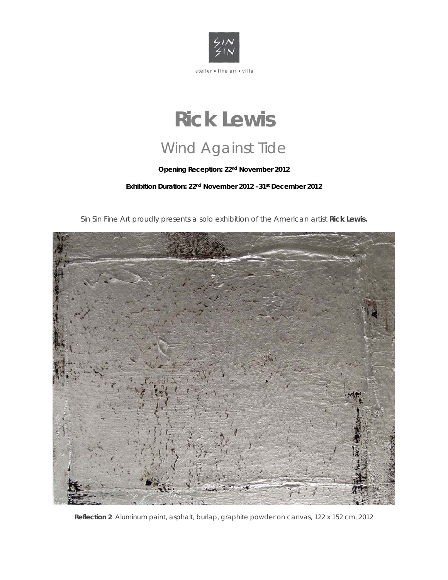

## **Rick Lewis**  Wind Against Tide

**Opening Reception: 22nd November 2012**

**Exhibition Duration: 22nd November 2012 –31st December 2012** 

Sin Sin Fine Art proudly presents a solo exhibition of the American artist **Rick Lewis.**



**Reflection 2** Aluminum paint, asphalt, burlap, graphite powder on canvas, 122 x 152 cm, 2012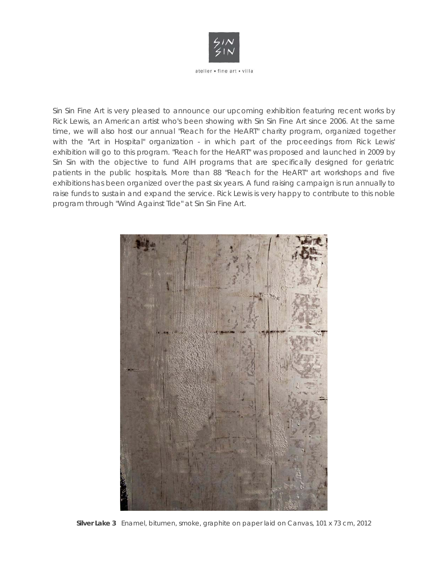

Sin Sin Fine Art is very pleased to announce our upcoming exhibition featuring recent works by Rick Lewis, an American artist who's been showing with Sin Sin Fine Art since 2006. At the same time, we will also host our annual "Reach for the HeART" charity program, organized together with the "Art in Hospital" organization - in which part of the proceedings from Rick Lewis' exhibition will go to this program. "Reach for the HeART" was proposed and launched in 2009 by Sin Sin with the objective to fund AIH programs that are specifically designed for geriatric patients in the public hospitals. More than 88 "Reach for the HeART" art workshops and five exhibitions has been organized over the past six years. A fund raising campaign is run annually to raise funds to sustain and expand the service. Rick Lewis is very happy to contribute to this noble program through "Wind Against Tide" at Sin Sin Fine Art.



**Silver Lake 3** Enamel, bitumen, smoke, graphite on paper laid on Canvas, 101 x 73 cm, 2012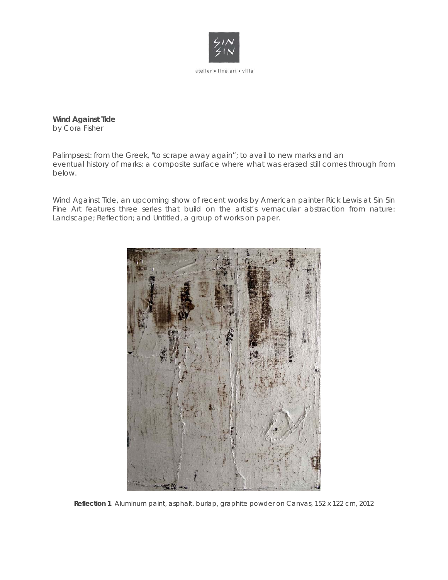

**Wind Against Tide**  *by Cora Fisher* 

*Palimpsest: from the Greek, "to scrape away again"; to avail to new marks and an eventual history of marks; a composite surface where what was erased still comes through from below.* 

Wind Against Tide, an upcoming show of recent works by American painter Rick Lewis at Sin Sin Fine Art features three series that build on the artist's vernacular abstraction from nature: Landscape; Reflection; and Untitled, a group of works on paper.



**Reflection 1** Aluminum paint, asphalt, burlap, graphite powder on Canvas, 152 x 122 cm, 2012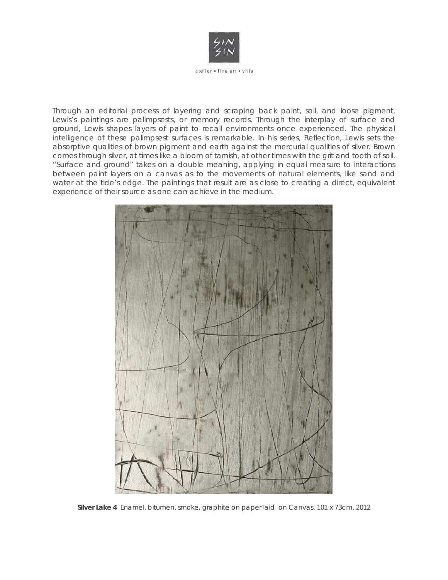

Through an editorial process of layering and scraping back paint, soil, and loose pigment, Lewis's paintings are palimpsests, or memory records. Through the interplay of surface and ground, Lewis shapes layers of paint to recall environments once experienced. The physical intelligence of these palimpsest surfaces is remarkable. In his series, Reflection, Lewis sets the absorptive qualities of brown pigment and earth against the mercurial qualities of silver. Brown comes through silver, at times like a bloom of tarnish, at other times with the grit and tooth of soil. "Surface and ground" takes on a double meaning, applying in equal measure to interactions between paint layers on a canvas as to the movements of natural elements, like sand and water at the tide's edge. The paintings that result are as close to creating a direct, equivalent experience of their source as one can achieve in the medium.



**Silver Lake 4** Enamel, bitumen, smoke, graphite on paper laid on Canvas, 101 x 73cm, 2012